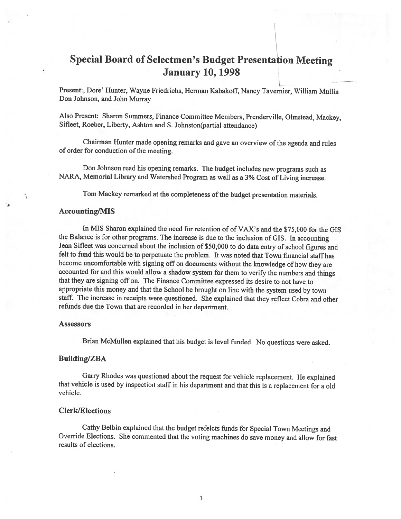# Special Board of Selectmen's Budget Presentation Meeting January 10, 1998

L Present:, Dore' Hunter, Wayne Friedrichs, Herman Kabakoff, Nancy Tavemier, William Mullin Don Johnson, and John Murray

Also Present: Sharon Summers, finance Committee Members, Prenderville, Olmstead, Mackey, Sifleet, Roeber, Liberty, Ashton and S. Johnston(partial attendance)

Chairman Hunter made opening remarks and gave an overview of the agenda and rules of order for conduction of the meeting.

Don Johnson read his opening remarks. The budget includes new programs such as NARA, Memorial Library and Watershed Program as well as <sup>a</sup> 3% Cost of Living increase.

Tom Mackey remarked at the completeness of the budget presentation materials.

#### Accounting/MIS

In MIS Sharon explained the need for retention of of VAX's and the \$75,000 for the GIS the Balance is for other programs. The increase is due to the inclusion of GIS. In accounting Jean Sifleet was concerned about the inclusion of \$50,000 to do data entry of school figures and felt to fund this would be to perpetuate the problem. It was noted that Town financial staff has become uncomfortable with signing off on documents without the knowledge of how they are accounted for and this would allow <sup>a</sup> shadow system for them to verify the numbers and things that they are signing off on. The finance Committee expressed its desire to not have to appropriate this money and that the School be brought on line with the system used by town staff. The increase in receipts were questioned. She explained that they reflect Cobra and other refunds due the Town that are recorded in her department.

## **Assessors**

Brian McMullen explained that his budget is level funded. No questions were asked.

### Building/ZBA

Garry Rhodes was questioned about the request for vehicle replacement. He explained that vehicle is used by inspectiod staff in his department and that this is <sup>a</sup> replacement for <sup>a</sup> old vehicle.

# Clerk/Elections

Cathy Belbin explained that the budget refelcts funds for Special Town Meetings and Override Elections. She commented that the voting machines do save money and allow for fast results of elections.

1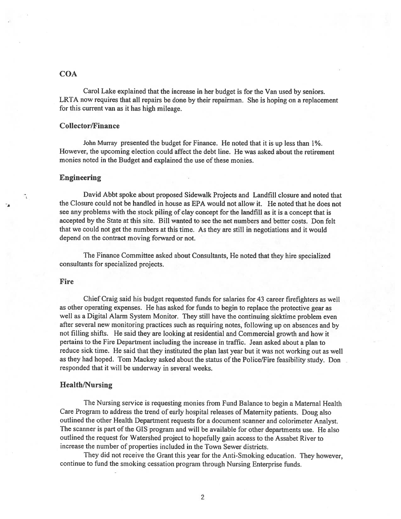# **COA**

Carol Lake explained that the increase in her budget is for the Van used by seniors. LRTA now requires that all repairs be done by their repairman. She is hoping on <sup>a</sup> replacement for this current van as it has high mileage.

# Collector/Finance

John Murray presented the budget for Finance. He noted that it is up less than 1%. However, the upcoming election could affect the debt line. He was asked about the retirement monies noted in the Budget and explained the use of these monies.

## Engineering

David Abbt spoke about proposed Sidewalk Projects and Landfill closure and noted that the Closure could not be handled in house as EPA would not allow it. He noted that he does not see any problems with the stock <sup>p</sup>iling of clay concep<sup>t</sup> for the landfill as it is <sup>a</sup> concep<sup>t</sup> that is accepted by the State at this site. Bill wanted to see the net numbers and better costs. Don felt that we could not ge<sup>t</sup> the numbers at this time. As they are still in negotiations and it would depend on the contract moving forward or not.

The Finance Committee asked about Consultants, He noted that they hire specialized consultants for specialized projects.

## Fire

Chief Craig said his budget requested funds for salaries for <sup>43</sup> career firefighters as well as other operating expenses. He has asked for funds to begin to replace the protective gear as well as <sup>a</sup> Digital Alarm System Monitor. They still have the continuing sicktime problem even after several new monitoring practices such as requiring notes, following up on absences and by not filling shifts. He said they are looking at residential and Commercial growth and how it pertains to the Fire Department including the increase in traffic. Jean asked about <sup>a</sup> <sup>p</sup>lan to reduce sick time. He said that they instituted the <sup>p</sup>lan last year but it was not working out as well as they had hoped. Tom Mackey asked about the status of the Police/Fire feasibility study. Don responded that it will be underway in several weeks.

## Health/Nursing

The Nursing service is requesting monies from Fund Balance to begin <sup>a</sup> Maternal Health Care Program to address the trend of early hospital releases of Maternity patients. Doug also outlined the other Health Department requests for <sup>a</sup> document scanner and colorimeter Analyst. The scanner is par<sup>t</sup> of the GIS program and will be available for other departments use. He also outlined the reques<sup>t</sup> for Watershed project to hopefully gain access to the Assabet River to increase the number of properties included in the Town Sewer districts.

They did not receive the Grant this year for the Anti-Smoking education. They however, continue to fund the smoking cessation program through Nursing Enterprise funds.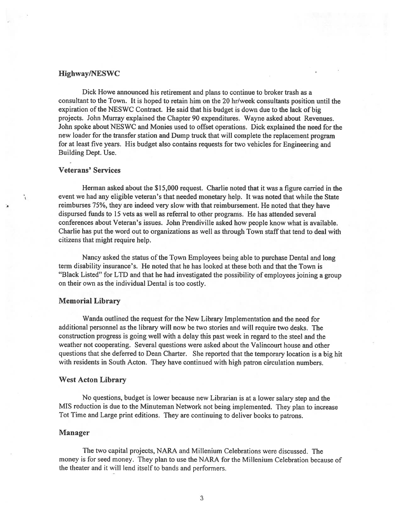# Highway/NESWC

Dick Howe announced his retirement and plans to continue to broker trash as <sup>a</sup> consultant to the Town. It is hoped to retain him on the 20 hr/week consultants position until the expiration of the NESWC Contract. He said that his budget is down due to the lack of big projects. John Murray explained the Chapter 90 expenditures. Wayne asked about Revenues. John spoke about NESWC and Monies used to offset operations. Dick explained the need for the new loader for the transfer station and Dump truck that will complete the replacement program for at least five years. His budget also contains requests for two vehicles for Engineering and Building Dept. Use.

# Veterans' Services

Herman asked about the \$15,000 request. Charlie noted that it was <sup>a</sup> figure carried in the event we had any eligible veteran's that needed monetary help. It was noted that while the State reimburses 75%, they are indeed very slow with that reimbursement. He noted that they have dispursed funds to 15 vets as well as referral to other programs. He has attended several conferences about Veteran's issues. John Prendiville asked how people know what is available. Charlie has pu<sup>t</sup> the word out to organizations as well as through Town staffthat tend to deal with citizens that might require help.

Nancy asked the status of the Town Employees being able to purchase Dental and long term disability insurance's. He noted that he has looked at these both and that the Town is "Black Listed" for LTD and that he had investigated the possibility of employees joining <sup>a</sup> group on their own as the individual Dental is too costly.

## Memorial Library

Wanda outlined the reques<sup>t</sup> for the New Library Implementation and the need for additional personnel as the library will now be two stories and will require two desks. The construction progress is going well with <sup>a</sup> delay this pas<sup>t</sup> week in regard to the steel and the weather not cooperating. Several questions were asked about the Valincourt house and other questions that she deferred to Dean Charter. She reported that the temporary location is <sup>a</sup> big hit with residents in South Acton. They have continued with high patron circulation numbers.

#### West Acton Library

No questions, budget is lower because new Librarian is at <sup>a</sup> lower salary step and the MIS reduction is due to the Minuteman Network not being implemented. They <sup>p</sup>lan to increase Tot Time and Large print editions. They are continuing to deliver books to patrons.

#### Manager

The two capital projects, NARA and Millenium Celebrations were discussed. The money is for seed money. They plan to use the NARA for the Millenium Celebration because of the theater and it will lend itself to bands and performers.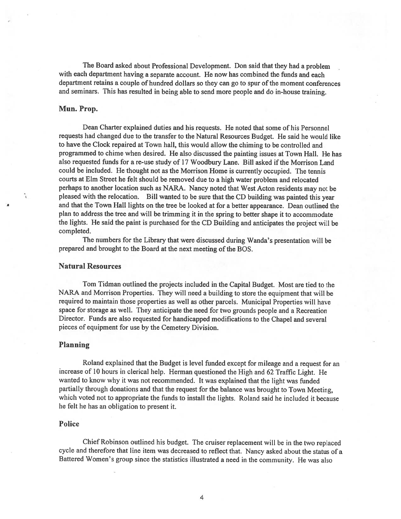The Board asked about Professional Development. Don said that they had <sup>a</sup> problem with each department having <sup>a</sup> separate account. He now has combined the funds and each department retains <sup>a</sup> couple of hundred dollars so they can go to spur of the moment conferences and seminars. This has resulted in being able to send more people and do in-house training.

## Mun. Prop.

Dean Charter explained duties and his requests. He noted that some of his Personnel requests had changed due to the transfer to the Natural Resources Budget. He said he would like to have the Clock repaired at Town hall, this would allow the chiming to be controlled and programme<sup>d</sup> to chime when desired. He also discussed the painting issues at Town Hall. He has also requested funds for a re-use study of 17 Woodbury Lane. Bill asked if the Morrison Land could be included. He thought not as the Morrison Home is currently occupied. The tennis courts at Elm Street he felt should be removed due to <sup>a</sup> high water problem and relocated perhaps to another location such as NARA. Nancy noted that West Acton residents may not be <sup>p</sup>leased with the relocation. Bill wanted to be sure that the CD building was painted this year and that the Town Hall lights on the tree be looked at for <sup>a</sup> better appearance. Dean outlined the <sup>p</sup>lan to address the tree and will be trimming it in the spring to better shape it to accommodate the lights. He said the paint is purchased for the CD Building and anticipates the project will be completed.

The numbers for the Library that were discussed during Wanda's presentation will be prepared and brought to the Board at the next meeting of the BOS.

# Natural Resources

Tom Tidman outlined the projects included in the Capital Budget. Most are tied to the NARA and Morrison Properties. They will need <sup>a</sup> building to store the equipment that will be required to maintain those properties as well as other parcels. Municipal Properties will have space for storage as well. They anticipate the need for two grounds people and <sup>a</sup> Recreation Director. funds are also requested for handicapped modifications to the Chapel and several <sup>p</sup>ieces of equipment for use by the Cemetery Division.

#### Planning

Roland explained that the Budget is level funded excep<sup>t</sup> for mileage and <sup>a</sup> reques<sup>t</sup> for an increase of <sup>10</sup> hours in clerical help. Herman questioned the High and <sup>62</sup> Traffic Light. He wanted to know why it was not recommended. It was explained that the light was funded partially through donations and that the reques<sup>t</sup> for the balance was brought to Town Meeting, which voted not to appropriate the funds to install the lights. Roland said he included it because he felt he has an obligation to presen<sup>t</sup> it.

#### Police

Chief Robinson outlined his budget. The cruiser replacement will be in the two replaced cycle and therefore that line item was decreased to reflect that. Nancy asked about the status of <sup>a</sup> Battered Women's group since the statistics illustrated <sup>a</sup> need in the community. He was also